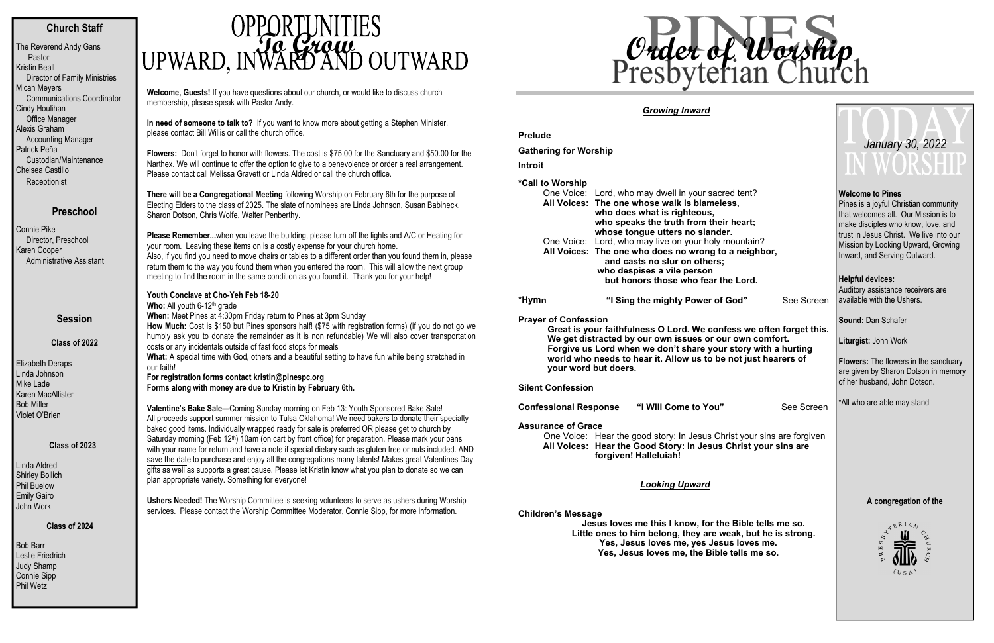# **Church Staff**

The Reverend Andy Gans Pastor Kristin Beall Director of Family Ministries Micah Meyers Communications Coordinator Cindy Houlihan Office Manager Alexis Graham Accounting Manager Patrick Peña Custodian/Maintenance Chelsea Castillo **Receptionist** 

# **Preschool**

Bob Barr Leslie Friedrich Judy Shamp Connie Sipp Phil Wetz

# **OPPORTUNITIES**<br>UPWARD, INVARDAND OUTWARD

Connie Pike Director, Preschool Karen Cooper Administrative Assistant

#### **Session**

**Class of 2022** 

Elizabeth Deraps Linda Johnson Mike Lade Karen MacAllister Bob Miller Violet O'Brien

#### **Class of 2023**

Linda Aldred Shirley Bollich Phil Buelow Emily Gairo John Work

#### **Class of 2024**

**Welcome, Guests!** If you have questions about our church, or would like to discuss church membership, please speak with Pastor Andy.

**In need of someone to talk to?** If you want to know more about getting a Stephen Minister, please contact Bill Willis or call the church office.

Who: All youth 6-12<sup>th</sup> grade **When:** Meet Pines at 4:30pm Friday return to Pines at 3pm Sunday

**Flowers:** Don't forget to honor with flowers. The cost is \$75.00 for the Sanctuary and \$50.00 for the Narthex. We will continue to offer the option to give to a benevolence or order a real arrangement. Please contact call Melissa Gravett or Linda Aldred or call the church office.

**There will be a Congregational Meeting** following Worship on February 6th for the purpose of Electing Elders to the class of 2025. The slate of nominees are Linda Johnson, Susan Babineck, Sharon Dotson, Chris Wolfe, Walter Penberthy.

**Please Remember...**when you leave the building, please turn off the lights and A/C or Heating for your room. Leaving these items on is a costly expense for your church home. Also, if you find you need to move chairs or tables to a different order than you found them in, please<br>actum than to the way way found tham what you antered the acene. This will allow the next may we return them to the way you found them when you entered the room. This will allow the next group meeting to find the room in the same condition as you found it. Thank you for your help!

**Prelude Gathering for Worship Introit\*Call to Worship** One Voice: Lord, who may dwell in your sacred tent? **All Voices: The one whose walk is blameless, who does what is righteous, who speaks the truth from their heart; whose tongue utters no slander.**  One Voice: Lord, who may live on your holy mountain?  **All Voices: The one who does no wrong to a neighbor, and casts no slur on others; who despises a vile person but honors those who fear the Lord. \*Hym n**"I Sing the mighty Power of God" See Screen

# **Youth Conclave at Cho-Yeh Feb 18-20**

 **How Much:** Cost is \$150 but Pines sponsors half! (\$75 with registration forms) (if you do not go we humbly ask you to donate the remainder as it is non refundable) We will also cover transportation costs or any incidentals outside of fast food stops for meals

**What:** A special time with God, others and a beautiful setting to have fun while being stretched in our faith!

Pines is a joyful Christian community that welcomes all. Our Mission is to make disciples who know, love, and trust in Jesus Christ. We live into our Mission by Looking Upward, Growing Inward, and Serving Outward.

**For registration forms contact kristin@pinespc.org Forms along with money are due to Kristin by February 6th.** 

**Valentine's Bake Sale—**Coming Sunday morning on Feb 13: Youth Sponsored Bake Sale! All proceeds support summer mission to Tulsa Oklahoma! We need bakers to donate their specialty baked good items. Individually wrapped ready for sale is preferred OR please get to church by Saturday morning (Feb 12<sup>th</sup>) 10am (on cart by front office) for preparation. Please mark your pans with your name for return and have a note if special dietary such as gluten free or nuts included. AND save the date to purchase and enjoy all the congregations many talents! Makes great Valentines Day gifts as well as supports a great cause. Please let Kristin know what you plan to donate so we can plan appropriate variety. Something for everyone!

**Ushers Needed!** The Worship Committee is seeking volunteers to serve as ushers during Worship services. Please contact the Worship Committee Moderator, Connie Sipp, for more information.

## *Growing Inward*

**Prayer of Confession** 

**Great is your faithfulness O Lord. We confess we often forget this. We get distracted by our own issues or our own comfort. Forgive us Lord when we don't share your story with a hurting world who needs to hear it. Allow us to be not just hearers of your word but doers.** 

**Silent Confession** 

**Confessional Response "I Will Come to You"** See Screen

#### **Assurance of Grace**

One Voice: Hear the good story: In Jesus Christ your sins are forgiven **All Voices: Hear the Good Story: In Jesus Christ your sins are forgiven! Halleluiah!** 

*Looking Upward* 

**Children's Message** 

**Jesus loves me this I know, for the Bible tells me so. Little ones to him belong, they are weak, but he is strong. Yes, Jesus loves me, yes Jesus loves me. Yes, Jesus loves me, the Bible tells me so.** 

### **Welcome to Pines**

#### **Helpful devices:**

Auditory assistance receivers are available with the Ushers.

**Sound:** Dan Schafer

**Liturgist:** John Work

**Flowers:** The flowers in the sanctuary are given by Sharon Dotson in memory of her husband, John Dotson.

\*All who are able may stand

### **A congregation of the**



# *January 30, 2022*